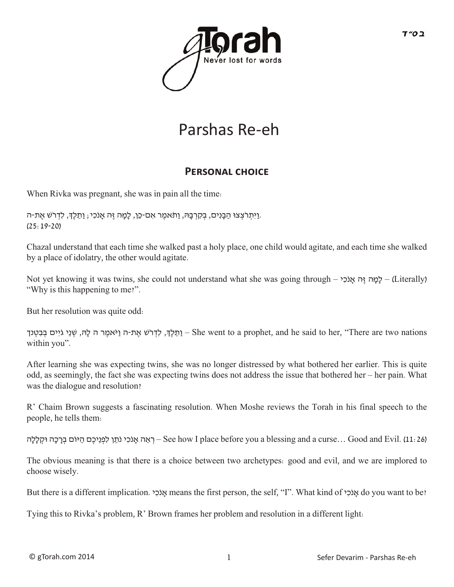

# Parshas Re-eh

### **PERSONAL CHOICE**

When Rivka was pregnant, she was in pain all the time:

וַיִּתְרֹצְצוּ הַבָּנִים, בְקִרְבָהּ, וַתֹּאמֶר אִם-כֵּן, לָמָה זֶה אָנֹכִי; וַתֵּלֶךָ, לִדְרֹשׁ אֶת-ה. (25:19-20)

Chazal understand that each time she walked past a holy place, one child would agitate, and each time she walked by a place of idolatry, the other would agitate.

Not yet knowing it was twins, she could not understand what she was going through – לָמַה זֵה אֲנֹכָי – (Literally) "Why is this happening to me?".

But her resolution was quite odd:

חַתְלֶךְ, לִדְרֹשׁ אֶת-ה וַיֹּאמֶר ה לָהּ, שְׁנֵי גֹיִים בְּבִטְנך She went to a prophet, and he said to her, "There are two nations within you".

After learning she was expecting twins, she was no longer distressed by what bothered her earlier. This is quite odd, as seemingly, the fact she was expecting twins does not address the issue that bothered her – her pain. What was the dialogue and resolution?

R' Chaim Brown suggests a fascinating resolution. When Moshe reviews the Torah in his final speech to the people, he tells them:

ך אֱה אֲנֹכִי נֹתֵן לִפְנֵיכֶם הַיּוֹם בְרָכָה וּקִלַלַה – See how I place before you a blessing and a curse... Good and Evil. (11: 26)

The obvious meaning is that there is a choice between two archetypes: good and evil, and we are implored to choose wisely.

But there is a different implication. אֲנֹכָי means the first person, the self, "I". What kind of אֲנֹכָּי do you want to be?

Tying this to Rivka's problem, R' Brown frames her problem and resolution in a different light: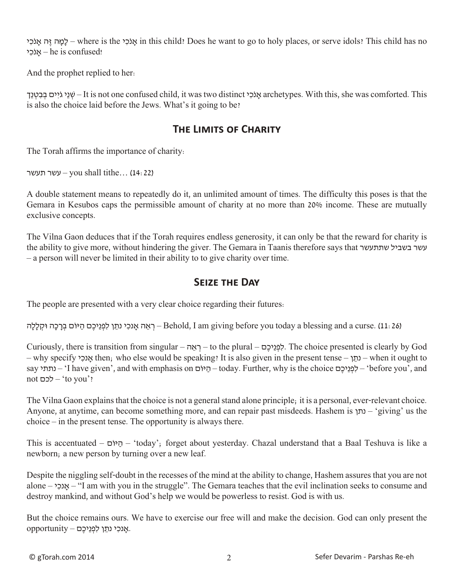י ִכֹאנָ הּ ֶז הּ ָמָל – where is the י ִכֹאנָ in this child? Does he want to go to holy places, or serve idols? This child has no  $-$  he is confused!

And the prophet replied to her:

י אני גיים בבטנד – It is not one confused child, it was two distinct אנכי archetypes. With this, she was comforted. This is also the choice laid before the Jews. What's it going to be?

#### **The Limits of Charity**

The Torah affirms the importance of charity:

עשר תעשר – you shall tithe… (14: 22)

A double statement means to repeatedly do it, an unlimited amount of times. The difficulty this poses is that the Gemara in Kesubos caps the permissible amount of charity at no more than 20% income. These are mutually exclusive concepts.

The Vilna Gaon deduces that if the Torah requires endless generosity, it can only be that the reward for charity is the ability to give more, without hindering the giver. The Gemara in Taanis therefore says that שתתעשר בשביל עשר – a person will never be limited in their ability to to give charity over time.

#### **Seize the Day**

The people are presented with a very clear choice regarding their futures:

רְ אֵה אֲנכִי נתֵן לִפְנֵיכֶם הַיּוֹם בְרָכָה וּקִלַלַה – Behold, I am giving before you today a blessing and a curse. (11: 26)

Curiously, there is transition from singular – ה ֵא ְר – to the plural – םֶיכֵנ ְפ ִל. The choice presented is clearly by God – why specify י ִאנכָ then; who else would be speaking? It is also given in the present tense – ן ֵנת – when it ought to say יוֹם – 'I have given', and with emphasis on היוֹם – today. Further, why is the choice העתי $-$ ' before you', and not לכם' – to you'?

The Vilna Gaon explains that the choice is not a general stand alone principle; it is a personal, ever-relevant choice. Anyone, at anytime, can become something more, and can repair past misdeeds. Hashem is נתן' – giving' us the choice – in the present tense. The opportunity is always there.

This is accentuated – ה  $i$ י $j$  – 'today'; forget about yesterday. Chazal understand that a Baal Teshuva is like a newborn; a new person by turning over a new leaf.

Despite the niggling self-doubt in the recesses of the mind at the ability to change, Hashem assures that you are not alone – אנכי – 'I am with you in the struggle". The Gemara teaches that the evil inclination seeks to consume and destroy mankind, and without God's help we would be powerless to resist. God is with us.

But the choice remains ours. We have to exercise our free will and make the decision. God can only present the  $\gamma$ אַנכִי נתֵן לִפְנֵיכֶם – opportunity